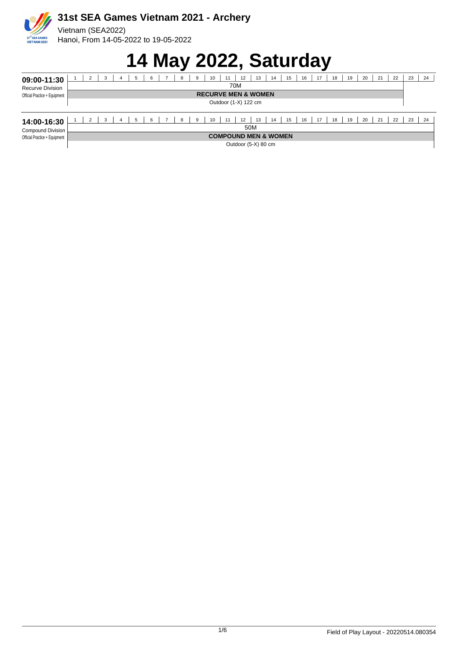

#### **14 May 2022, Saturday**

|                                |                                |   |    |  |  |    |  |  |  | . . |   |    |    |    |    |    |    |    | -  |    |    |    |    |    |    |     |
|--------------------------------|--------------------------------|---|----|--|--|----|--|--|--|-----|---|----|----|----|----|----|----|----|----|----|----|----|----|----|----|-----|
| 09:00-11:30                    |                                | ▵ | -3 |  |  | 5  |  |  |  | 8   | 9 | 10 | 11 | 12 | 13 | 14 | 15 | 16 |    | 18 | 19 | 20 | 21 | 22 | 23 | 24  |
| 70M<br><b>Recurve Division</b> |                                |   |    |  |  |    |  |  |  |     |   |    |    |    |    |    |    |    |    |    |    |    |    |    |    |     |
| Official Practice + Equipment  | <b>RECURVE MEN &amp; WOMEN</b> |   |    |  |  |    |  |  |  |     |   |    |    |    |    |    |    |    |    |    |    |    |    |    |    |     |
|                                | Outdoor (1-X) 122 cm           |   |    |  |  |    |  |  |  |     |   |    |    |    |    |    |    |    |    |    |    |    |    |    |    |     |
|                                |                                |   |    |  |  |    |  |  |  |     |   |    |    |    |    |    |    |    |    |    |    |    |    |    |    |     |
| 14:00-16:30                    |                                | ∠ |    |  |  | -5 |  |  |  | 8   | 9 | 10 | 11 | 12 | 13 | 14 | 15 | 16 | 17 | 18 | 19 | 20 | 21 | 22 | 23 | -24 |
| Compound Division L            | 50M                            |   |    |  |  |    |  |  |  |     |   |    |    |    |    |    |    |    |    |    |    |    |    |    |    |     |

Official Practice + Equipment

**COMPOUND MEN & WOMEN**

Outdoor (5-X) 80 cm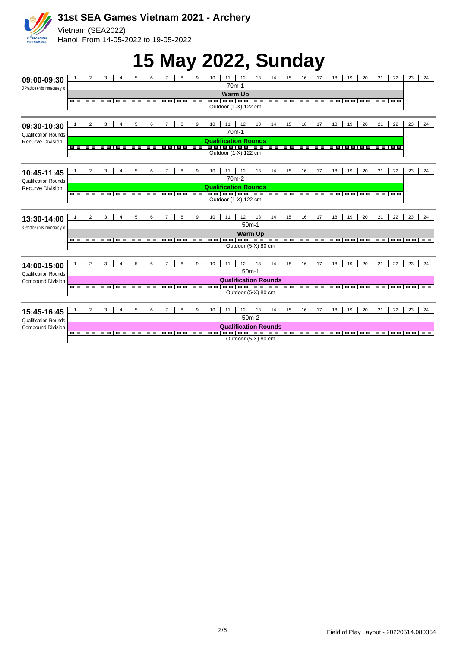

# **15 May 2022, Sunday**

| 09:00-09:30                                                                                                            |                                                                                                                                         | $\overline{2}$              | $\mathbf{3}$   | 4                             | 5                   | 6              | $\overline{7}$   | <sub>R</sub> | $\mathbf{Q}$   | 10 | 11 | 12                          | 13                                                                                                | 14 | 15 | 16             | 17             | 18                               | 19                  | 20                | 21                  | 22                | 23   | 24             |
|------------------------------------------------------------------------------------------------------------------------|-----------------------------------------------------------------------------------------------------------------------------------------|-----------------------------|----------------|-------------------------------|---------------------|----------------|------------------|--------------|----------------|----|----|-----------------------------|---------------------------------------------------------------------------------------------------|----|----|----------------|----------------|----------------------------------|---------------------|-------------------|---------------------|-------------------|------|----------------|
| 3 Practice ends immediately fo                                                                                         | $70m-1$                                                                                                                                 |                             |                |                               |                     |                |                  |              |                |    |    |                             |                                                                                                   |    |    |                |                |                                  |                     |                   |                     |                   |      |                |
|                                                                                                                        | $\blacksquare$                                                                                                                          | $\blacksquare$              | $\blacksquare$ | <b>The Co</b>                 | nп                  | nп             | n n              | n m          | m m            |    |    | <b>Warm Up</b>              |                                                                                                   |    |    | 1 m m          | $\blacksquare$ | m m                              | $\blacksquare$      | <b>CONTRACTOR</b> |                     | <b>.</b> .        |      |                |
|                                                                                                                        |                                                                                                                                         |                             |                |                               |                     |                |                  |              |                |    |    | Outdoor (1-X) 122 cm        |                                                                                                   |    |    |                |                |                                  |                     |                   |                     |                   |      |                |
|                                                                                                                        |                                                                                                                                         |                             |                |                               |                     |                |                  |              |                |    |    |                             |                                                                                                   |    |    |                |                |                                  |                     |                   |                     |                   |      |                |
| 09:30-10:30                                                                                                            |                                                                                                                                         | $\mathfrak{p}$              | 3              | 4                             | 5                   | 6              | $\overline{7}$   | 8            | $\mathbf{Q}$   | 10 | 11 | 12                          | 13                                                                                                | 14 | 15 | 16             | 17             | 18                               | 19                  | 20                | 21                  | 22                | 23   | 24             |
| <b>Qualification Rounds</b>                                                                                            |                                                                                                                                         | $70m-1$                     |                |                               |                     |                |                  |              |                |    |    |                             |                                                                                                   |    |    |                |                |                                  |                     |                   |                     |                   |      |                |
| Recurve Division                                                                                                       |                                                                                                                                         | <b>Qualification Rounds</b> |                |                               |                     |                |                  |              |                |    |    |                             |                                                                                                   |    |    |                |                |                                  |                     |                   |                     |                   |      |                |
|                                                                                                                        |                                                                                                                                         | ----                        | $\blacksquare$ | $\Box$ $\Box$                 | −<br>$\blacksquare$ | <b>BOTTO</b>   | <b>FOR THE R</b> | --           | $\blacksquare$ |    |    | Outdoor (1-X) 122 cm        |                                                                                                   |    |    | $\blacksquare$ | ш              | п                                | п<br>m              | <b>CONTRACTOR</b> |                     | <b>.</b>          |      |                |
|                                                                                                                        |                                                                                                                                         |                             |                |                               |                     |                |                  |              |                |    |    |                             |                                                                                                   |    |    |                |                |                                  |                     |                   |                     |                   |      |                |
|                                                                                                                        |                                                                                                                                         | $\mathfrak{p}$              | 3              | 4                             | 5                   | 6              | $\overline{7}$   | 8            | $\mathbf{Q}$   | 10 | 11 | 12                          | 13                                                                                                | 14 | 15 | 16             | 17             | 18                               | 19                  | 20                | 21                  | 22                | 23   | 24             |
| 10:45-11:45                                                                                                            |                                                                                                                                         |                             |                |                               |                     |                |                  |              |                |    |    | 70 <sub>m</sub> -2          |                                                                                                   |    |    |                |                |                                  |                     |                   |                     |                   |      |                |
| <b>Qualification Rounds</b><br><b>Recurve Division</b>                                                                 |                                                                                                                                         |                             |                |                               |                     |                |                  |              |                |    |    | <b>Qualification Rounds</b> |                                                                                                   |    |    |                |                |                                  |                     |                   |                     |                   |      |                |
|                                                                                                                        |                                                                                                                                         | ----                        | $\blacksquare$ | $\Box$ $\Box$                 | $\Box$ $\Box$       |                | --------         |              | <b>.</b>       |    |    |                             |                                                                                                   |    |    |                | $\blacksquare$ | <b>COMPANY</b>                   | <b>CONTRACTOR</b>   | --                |                     | <b>.</b>          |      |                |
|                                                                                                                        |                                                                                                                                         |                             |                |                               |                     |                |                  |              |                |    |    | Outdoor (1-X) 122 cm        |                                                                                                   |    |    |                |                |                                  |                     |                   |                     |                   |      |                |
|                                                                                                                        |                                                                                                                                         |                             |                |                               |                     |                |                  |              |                |    |    |                             |                                                                                                   |    |    |                |                |                                  |                     |                   |                     |                   |      |                |
| 2<br>3<br>5<br>10<br>12<br>13<br>14<br>$\overline{4}$<br>6<br>$\overline{7}$<br>8<br>9<br>11<br>13:30-14:00<br>$50m-1$ |                                                                                                                                         |                             |                |                               | 15                  | 16             | 17               | 18           | 19             | 20 | 21 | 22                          | 23                                                                                                | 24 |    |                |                |                                  |                     |                   |                     |                   |      |                |
| 3 Practice ends immediately fo                                                                                         |                                                                                                                                         |                             |                |                               |                     |                |                  |              |                |    |    | <b>Warm Up</b>              |                                                                                                   |    |    |                |                |                                  |                     |                   |                     |                   |      |                |
|                                                                                                                        | - -   - -   - -   - -   - -   - -   - -   - -   - -   - -   - -<br>---<br>$\blacksquare$<br>--<br>--<br>.<br>1 = = 1<br>. .<br>.<br>. . |                             |                |                               |                     |                |                  |              |                |    |    |                             |                                                                                                   |    |    |                |                |                                  |                     |                   |                     |                   |      |                |
|                                                                                                                        |                                                                                                                                         |                             |                |                               |                     |                |                  |              |                |    |    |                             | Outdoor (5-X) 80 cm                                                                               |    |    |                |                |                                  |                     |                   |                     |                   |      |                |
|                                                                                                                        |                                                                                                                                         |                             |                |                               |                     |                |                  |              |                |    |    |                             |                                                                                                   |    |    |                |                |                                  |                     |                   |                     |                   |      |                |
| 14:00-15:00                                                                                                            |                                                                                                                                         | $\mathfrak{p}$              | $\mathbf{B}$   | $\mathbf{A}$                  | 5                   | $\epsilon$     | $\overline{7}$   | 8            | $\mathbf{q}$   | 10 | 11 | 12<br>$50m-1$               | 13                                                                                                | 14 | 15 | 16             | 17             | 18                               | 19                  | 20                | 21                  | 22                | 23   | 24             |
| <b>Qualification Rounds</b>                                                                                            |                                                                                                                                         |                             |                |                               |                     |                |                  |              |                |    |    |                             |                                                                                                   |    |    |                |                |                                  |                     |                   |                     |                   |      |                |
| <b>Compound Division</b>                                                                                               |                                                                                                                                         | ----                        | $\blacksquare$ | $\Box$                        | $\blacksquare$      | 8 S I          |                  |              |                |    |    |                             | <b>Qualification Rounds</b><br><u>  0 0   0 0   0 0   0 0   0 0   0 0   0 0   0 0   0 0   0 0</u> |    |    |                | $\Box$ $\Box$  | $\Box$                           | п<br>$\blacksquare$ | $\Box$ $\Box$     | 86 G T              | <b>CONTRACTOR</b> | ---- |                |
|                                                                                                                        |                                                                                                                                         |                             |                |                               |                     |                |                  |              |                |    |    |                             | Outdoor (5-X) 80 cm                                                                               |    |    |                |                |                                  |                     |                   |                     |                   |      |                |
|                                                                                                                        |                                                                                                                                         |                             |                |                               |                     |                |                  |              |                |    |    |                             |                                                                                                   |    |    |                |                |                                  |                     |                   |                     |                   |      |                |
| 15:45-16:45                                                                                                            |                                                                                                                                         | $\overline{2}$              | 3              | 4                             | 5                   | 6              | $\overline{7}$   | 8            | $\mathbf{Q}$   | 10 | 11 | 12                          | 13                                                                                                | 14 | 15 | 16             | 17             | 18                               | 19                  | 20                | 21                  | 22                | 23   | 24             |
| <b>Qualification Rounds</b>                                                                                            | $50m-2$                                                                                                                                 |                             |                |                               |                     |                |                  |              |                |    |    |                             |                                                                                                   |    |    |                |                |                                  |                     |                   |                     |                   |      |                |
| <b>Compound Division</b>                                                                                               |                                                                                                                                         |                             |                |                               |                     |                |                  |              |                |    |    |                             | <b>Qualification Rounds</b>                                                                       |    |    |                |                |                                  |                     |                   |                     |                   |      |                |
|                                                                                                                        | o o                                                                                                                                     | --                          | ш<br>ш         | $\overline{\phantom{a}}$<br>п | ▬<br><b>COL</b>     | $\blacksquare$ | $\Box$<br>▭      | ▬            | ▬              |    |    |                             | <u>oo joo joo joo</u>                                                                             |    |    | $\Box$         | $\blacksquare$ | $\blacksquare$<br>$\blacksquare$ | ▬                   | $\blacksquare$    | п<br>$\blacksquare$ | п<br>$\Box$       | . .  | $\blacksquare$ |
|                                                                                                                        |                                                                                                                                         |                             |                |                               |                     |                |                  |              |                |    |    |                             | Outdoor (5-X) 80 cm                                                                               |    |    |                |                |                                  |                     |                   |                     |                   |      |                |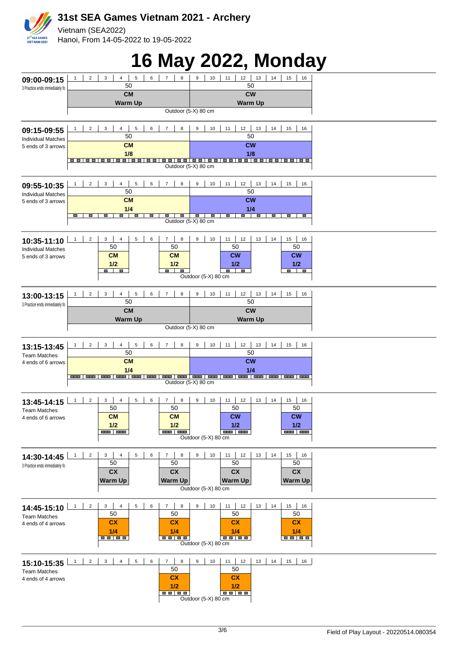#### **31st SEA Games Vietnam 2021 - Archery** Vietnam (SEA2022) Hanoi, From 14-05-2022 to 19-05-2022 31<sup>st</sup> SEA GAMES<br>VIET NAM 2021

# **16 May 2022, Monday**

|                                                 |                                                                                                             | ₽                                                                                                                           | ◢ |
|-------------------------------------------------|-------------------------------------------------------------------------------------------------------------|-----------------------------------------------------------------------------------------------------------------------------|---|
| 09:00-09:15<br>3 Practice ends immediately fo   | 5<br>$\overline{7}$<br>$\overline{2}$<br>3<br>$\overline{4}$<br>6<br>8<br>50                                | 9<br>10<br>11<br>12<br>13<br>14<br>15<br>16<br>50                                                                           |   |
|                                                 | <b>CM</b>                                                                                                   | <b>CW</b>                                                                                                                   |   |
|                                                 | <b>Warm Up</b><br>Outdoor (5-X) 80 cm                                                                       | <b>Warm Up</b>                                                                                                              |   |
|                                                 |                                                                                                             |                                                                                                                             |   |
| 09:15-09:55                                     | $\overline{2}$<br>3<br>$\overline{4}$<br>$\,$ 5 $\,$<br>6<br>$\overline{7}$<br>8<br>50                      | 12<br>$13$<br>11<br>14<br>15<br>9<br>10<br>16<br>50                                                                         |   |
| <b>Individual Matches</b><br>5 ends of 3 arrows | <b>CM</b>                                                                                                   | <b>CW</b>                                                                                                                   |   |
|                                                 | 1/8                                                                                                         | 1/8                                                                                                                         |   |
|                                                 | Outdoor (5-X) 80 cm                                                                                         |                                                                                                                             |   |
|                                                 | $\overline{2}$<br>3<br>$\overline{4}$<br>5<br>6<br>$\overline{7}$<br>8                                      | $12 \mid 13$<br>14<br>15<br>16<br>9<br>10<br>11                                                                             |   |
| 09:55-10:35<br><b>Individual Matches</b>        | 50                                                                                                          | 50                                                                                                                          |   |
| 5 ends of 3 arrows                              | <b>CM</b>                                                                                                   | <b>CW</b>                                                                                                                   |   |
|                                                 | 1/4<br>Ξ<br>D<br>$\qquad \qquad \blacksquare$<br>m.<br>ш<br>œ<br>ш                                          | 1/4<br>ŋ<br>D<br>Ξ<br>D<br>$\blacksquare$<br>$\qquad \qquad \blacksquare$<br>$\blacksquare$<br>$\qquad \qquad \blacksquare$ |   |
|                                                 | Outdoor (5-X) 80 cm                                                                                         |                                                                                                                             |   |
| 10:35-11:10                                     | $\overline{2}$<br>$\overline{4}$<br>6<br>3<br>5<br>8<br>$\mathbf{1}$<br>$\overline{7}$                      | 12<br>13<br>14<br>15<br>9<br>10<br>11<br>16                                                                                 |   |
| <b>Individual Matches</b>                       | 50<br>50                                                                                                    | 50<br>50                                                                                                                    |   |
| 5 ends of 3 arrows                              | <b>CM</b><br><b>CM</b><br>1/2<br>1/2                                                                        | <b>CW</b><br><b>CW</b><br>1/2<br>1/2                                                                                        |   |
|                                                 | $\blacksquare$<br>p<br>$\blacksquare$<br>$\blacksquare$                                                     | - -<br><b>F</b><br>$\Box$                                                                                                   |   |
|                                                 |                                                                                                             | Outdoor (5-X) 80 cm                                                                                                         |   |
| 13:00-13:15                                     | $\overline{4}$<br>$\overline{2}$<br>3<br>$\,$ 5 $\,$<br>6<br>$\overline{7}$<br>8                            | $12 \mid 13$<br>14<br>15<br>9<br>10<br>11<br>16                                                                             |   |
| 3 Practice ends immediately fo                  | 50<br><b>CM</b>                                                                                             | 50<br><b>CW</b>                                                                                                             |   |
|                                                 | <b>Warm Up</b>                                                                                              | <b>Warm Up</b>                                                                                                              |   |
|                                                 | Outdoor (5-X) 80 cm                                                                                         |                                                                                                                             |   |
| 13:15-13:45                                     | $\overline{2}$<br>$\overline{4}$<br>$\,$ 5 $\,$<br>$\mathbf{3}$<br>6<br>$\overline{7}$<br>8<br>1            | 10<br>$11$   12   13<br>14<br>15<br>9<br>16                                                                                 |   |
| <b>Team Matches</b>                             | 50                                                                                                          | 50                                                                                                                          |   |
| 4 ends of 6 arrows                              | <b>CM</b><br>1/4                                                                                            | <b>CW</b><br>1/4                                                                                                            |   |
|                                                 | Outdoor (5-X) 80 cm                                                                                         |                                                                                                                             |   |
|                                                 |                                                                                                             |                                                                                                                             |   |
| 13:45-14:15                                     | 6<br>$\mathbf{1}$<br>$\overline{2}$<br>3<br>$\overline{4}$<br>5<br>8<br>7                                   | 12<br>13<br>14<br>15<br>9<br>10<br>11<br>16                                                                                 |   |
| <b>Team Matches</b>                             | 50<br>50<br><b>CM</b><br><b>CM</b>                                                                          | 50<br>50<br><b>CW</b><br><b>CW</b>                                                                                          |   |
| 4 ends of 6 arrows                              | 1/2<br>1/2                                                                                                  | 1/2<br>1/2                                                                                                                  |   |
|                                                 | and and<br>and Lane                                                                                         | <b>BEE BEE</b><br><b>HEE   HEE</b><br>Outdoor (5-X) 80 cm                                                                   |   |
|                                                 |                                                                                                             |                                                                                                                             |   |
| 14:30-14:45                                     | $\overline{2}$<br>3<br>$\overline{4}$<br>$5\overline{)}$<br>$\,6\,$<br>$\overline{7}$<br>8<br>1<br>50<br>50 | 15<br>9<br>10<br>12<br>13<br>14<br>11<br>16<br>50<br>50                                                                     |   |
| 3 Practice ends immediately fo                  | cx<br>cx                                                                                                    | cx<br>cx                                                                                                                    |   |
|                                                 | <b>Warm Up</b><br><b>Warm Up</b>                                                                            | <b>Warm Up</b><br><b>Warm Up</b>                                                                                            |   |
|                                                 |                                                                                                             | Outdoor (5-X) 80 cm                                                                                                         |   |
| 14:45-15:10                                     | $\overline{7}$<br>3<br>$\overline{4}$<br>5<br>6<br>8<br>1<br>$\overline{c}$                                 | 15<br>9<br>10<br>11<br>12<br>13<br>14<br>16                                                                                 |   |
| <b>Team Matches</b>                             | 50<br>50                                                                                                    | 50<br>50                                                                                                                    |   |
| 4 ends of 4 arrows                              | cx<br>cx<br>1/4<br>1/4                                                                                      | cx<br>cx<br>1/4<br>1/4                                                                                                      |   |
|                                                 | $\blacksquare$ $\blacksquare$ $\blacksquare$ $\blacksquare$<br><b>BB BB</b>                                 | <b>BB 88</b><br>Outdoor (5-X) 80 cm                                                                                         |   |
|                                                 |                                                                                                             |                                                                                                                             |   |
| 15:10-15:35                                     | $\overline{7}$<br>$2^{\circ}$<br>$\mathbf{3}$<br>4<br>5 <sub>5</sub><br>6<br>8<br>$\mathbf{1}$              | 12<br>15<br>9<br>10<br>11<br>13<br>14<br>16                                                                                 |   |
| <b>Team Matches</b><br>4 ends of 4 arrows       | 50<br>cx                                                                                                    | 50<br>cx                                                                                                                    |   |
|                                                 | 1/2                                                                                                         | 1/2                                                                                                                         |   |
|                                                 | <b>BB BB</b>                                                                                                | <b>BB 88</b><br>Outdoor (5-X) 80 cm                                                                                         |   |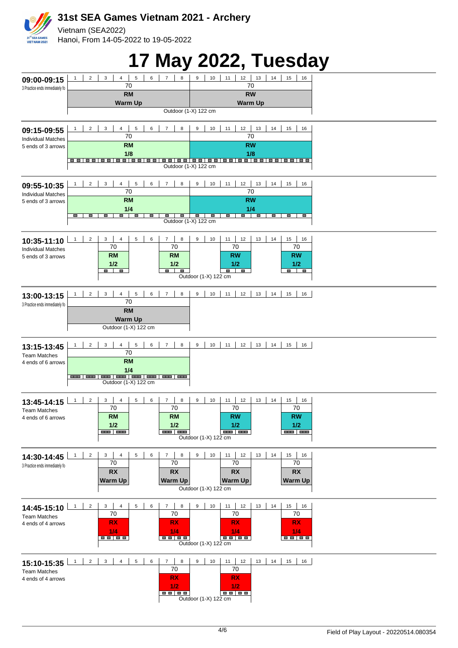

### **17 May 2022, Tuesday**

|                                               |                                                                                                             | ◢                                                                                                                                            | ✔                     |
|-----------------------------------------------|-------------------------------------------------------------------------------------------------------------|----------------------------------------------------------------------------------------------------------------------------------------------|-----------------------|
| 09:00-09:15                                   | $\overline{2}$<br>3<br>$\overline{4}$<br>5<br>6<br>$\overline{7}$<br>$\mathbf{1}$<br>70                     | 8<br>12<br>13<br>9<br>10<br>14<br>11<br>70                                                                                                   | 15<br>16              |
| 3 Practice ends immediately fo                | <b>RM</b>                                                                                                   | <b>RW</b>                                                                                                                                    |                       |
|                                               | <b>Warm Up</b>                                                                                              | <b>Warm Up</b><br>Outdoor (1-X) 122 cm                                                                                                       |                       |
|                                               |                                                                                                             |                                                                                                                                              |                       |
| 09:15-09:55<br><b>Individual Matches</b>      | $2^{\circ}$<br>$\mathbf{3}$<br>4<br>$\,$ 5 $\,$<br>6<br>$\overline{7}$<br>1<br>70                           | $11$   $12$   $13$  <br>14<br>8<br>9<br>10<br>70                                                                                             | $15$ 16               |
| 5 ends of 3 arrows                            | <b>RM</b><br>1/8                                                                                            | <b>RW</b><br>1/8                                                                                                                             |                       |
|                                               | <u> - -   - -   - -   - -   - -   - -   - -   - -   - -   - -   - -   - -   - -   - -   - -   - -   - -</u> | Outdoor (1-X) 122 cm                                                                                                                         |                       |
|                                               |                                                                                                             |                                                                                                                                              |                       |
| 09:55-10:35<br><b>Individual Matches</b>      | $4 \mid$<br>$\overline{2}$<br>$\mathbf{3}$<br>$5\phantom{.0}$<br>6<br>$\overline{7}$<br>$\mathbf{1}$<br>70  | 11<br>$12 \mid 13$<br>10<br>14<br>8<br>9<br>70                                                                                               | 15<br>16              |
| 5 ends of 3 arrows                            | <b>RM</b><br>1/4                                                                                            | <b>RW</b><br>1/4                                                                                                                             |                       |
|                                               | D<br>U<br>$\blacksquare$<br>$\mathbf{r}$<br><b>The Second</b><br>ш<br>ш                                     | $\blacksquare$<br><b>The Co</b><br>ŋ<br>$\blacksquare$<br>$\blacksquare$<br>$\qquad \qquad \blacksquare$<br>$\equiv$<br>Outdoor (1-X) 122 cm | ŋ<br>$\blacksquare$   |
|                                               |                                                                                                             |                                                                                                                                              |                       |
| 10:35-11:10<br><b>Individual Matches</b>      | $\overline{2}$<br>3<br>$\pmb{4}$<br>5<br>6<br>$\overline{7}$<br>1<br>70<br>70                               | 11<br>12<br>$\bf8$<br>9<br>10<br>13<br>14<br>70                                                                                              | 15<br>16<br>70        |
| 5 ends of 3 arrows                            | <b>RM</b><br><b>RM</b><br>1/2<br>1/2                                                                        | <b>RW</b><br>1/2                                                                                                                             | <b>RW</b><br>1/2      |
|                                               | $\blacksquare$<br>$\blacksquare$<br>J                                                                       | $\blacksquare$<br>$\blacksquare$<br>Π<br>Outdoor (1-X) 122 cm                                                                                |                       |
|                                               | $\overline{3}$<br>4<br>$5\overline{)}$<br>$\,$ 6 $\,$<br>$\overline{7}$                                     | 8                                                                                                                                            |                       |
| 13:00-13:15<br>3 Practice ends immediately fo | $\overline{2}$<br>$\mathbf{1}$<br>70                                                                        | $10$ 11 12 13 14<br>9                                                                                                                        | 15 16                 |
|                                               | <b>RM</b><br><b>Warm Up</b>                                                                                 |                                                                                                                                              |                       |
|                                               | Outdoor (1-X) 122 cm                                                                                        |                                                                                                                                              |                       |
| 13:15-13:45                                   | $\overline{2}$<br>$\mathbf{3}$<br>$\overline{4}$<br>5<br>6<br>$7 \mid$<br>1                                 | $9$   10   11   12   13   14   15   16  <br>8                                                                                                |                       |
| <b>Team Matches</b><br>4 ends of 6 arrows     | 70<br><b>RM</b>                                                                                             |                                                                                                                                              |                       |
|                                               | 1/4                                                                                                         |                                                                                                                                              |                       |
|                                               | Outdoor (1-X) 122 cm                                                                                        |                                                                                                                                              |                       |
| 13:45-14:15                                   | 5<br>6<br>$\overline{7}$<br>1<br>$\overline{2}$<br>3<br>$\overline{4}$                                      | 8<br>9<br>10<br>11<br>12<br>13<br>14                                                                                                         | 15<br>16              |
| <b>Team Matches</b><br>4 ends of 6 arrows     | 70<br>70<br><b>RM</b><br>RM                                                                                 | 70<br><b>RW</b>                                                                                                                              | 70<br><b>RW</b>       |
|                                               | 1/2<br>1/2<br><b>BEE 1980</b><br>and Lane                                                                   | 1/2<br>and an                                                                                                                                | 1/2<br><b>BAR BAR</b> |
|                                               |                                                                                                             | Outdoor (1-X) 122 cm                                                                                                                         |                       |
| 14:30-14:45                                   | $\overline{2}$<br>5<br>6<br>$\mathbf{1}$<br>3<br>$\overline{4}$<br>$\overline{7}$<br>70<br>70               | 10<br>$11 -$<br>12<br>13<br>14<br>8<br>9<br>70                                                                                               | 15<br>16<br>70        |
| 3 Practice ends immediately fo                | <b>RX</b><br><b>RX</b>                                                                                      | <b>RX</b>                                                                                                                                    | <b>RX</b>             |
|                                               | <b>Warm Up</b><br><b>Warm Up</b>                                                                            | <b>Warm Up</b><br>Outdoor (1-X) 122 cm                                                                                                       | <b>Warm Up</b>        |
|                                               |                                                                                                             |                                                                                                                                              |                       |
| 14:45-15:10<br><b>Team Matches</b>            | $\overline{2}$<br>3<br>$\overline{4}$<br>5<br>6<br>$\overline{7}$<br>$\mathbf{1}$<br>70<br>70               | 8<br>9<br>10<br>11<br>12<br>13<br>14<br>70                                                                                                   | 15<br>16<br>70        |
| 4 ends of 4 arrows                            | <b>RX</b><br><b>RX</b><br>1/4<br>1/4                                                                        | <b>RX</b><br>1/4                                                                                                                             | <b>RX</b><br>1/4      |
|                                               |                                                                                                             | Outdoor (1-X) 122 cm                                                                                                                         |                       |
|                                               | $2 \mid$<br>$\mathbf{3}$<br>4<br>5 <sub>5</sub><br>6<br>$\overline{7}$<br>$\overline{1}$                    | 12<br>8<br>9<br>10<br>11<br>13<br>14                                                                                                         | 15<br>16              |
| 15:10-15:35<br><b>Team Matches</b>            | 70                                                                                                          | 70                                                                                                                                           |                       |
| 4 ends of 4 arrows                            | <b>RX</b><br>1/2                                                                                            | <b>RX</b><br>1/2                                                                                                                             |                       |
|                                               | <b>BB 88</b>                                                                                                | Outdoor (1-X) 122 cm                                                                                                                         |                       |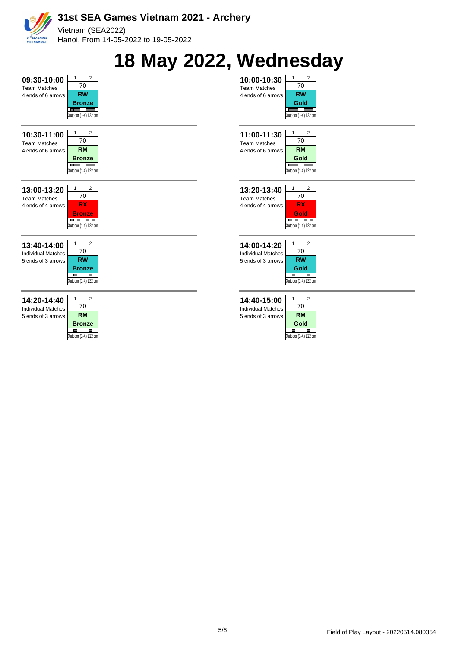

# **18 May 2022, Wednesday**